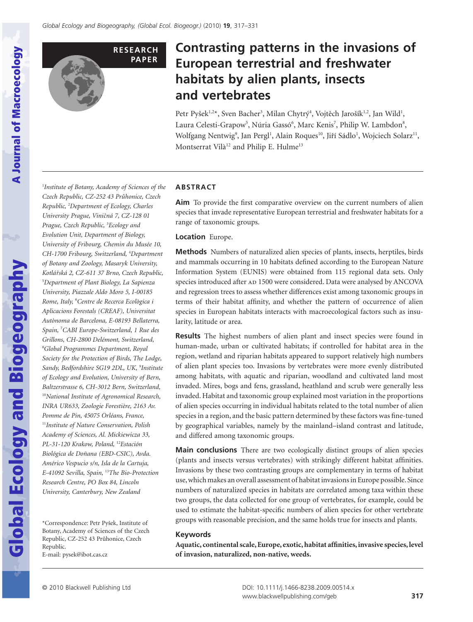

# **Contrasting patterns in the invasions of European terrestrial and freshwater habitats by alien plants, insects** and vertebrates

Petr Pyšek<sup>1,2\*</sup>, Sven Bacher<sup>3</sup>, Milan Chytrý<sup>4</sup>, Vojtěch Jarošík<sup>1,2</sup>, Jan Wild<sup>1</sup>, Laura Celesti-Grapow<sup>5</sup>, Núria Gassó<sup>6</sup>, Marc Kenis<sup>7</sup>, Philip W. Lambdon<sup>8</sup>, Wolfgang Nentwig<sup>9</sup>, Jan Pergl<sup>1</sup>, Alain Roques<sup>10</sup>, Jiří Sádlo<sup>1</sup>, Wojciech Solarz<sup>11</sup>, Montserrat Vilà<sup>12</sup> and Philip E. Hulme<sup>13</sup>

1 *Institute of Botany, Academy of Sciences of the Czech Republic, CZ-252 43 Pru˚honice, Czech Republic,* <sup>2</sup> *Department of Ecology, Charles University Prague, Vinicˇná 7, CZ-128 01 Prague, Czech Republic,* <sup>3</sup> *Ecology and Evolution Unit, Department of Biology, University of Fribourg, Chemin du Musée 10, CH-1700 Fribourg, Switzerland,* <sup>4</sup> *Department of Botany and Zoology, Masaryk University, Kotlárˇská 2, CZ-611 37 Brno, Czech Republic,* 5 *Department of Plant Biology, La Sapienza University, Piazzale Aldo Moro 5, I-00185 Rome, Italy,* <sup>6</sup> *Centre de Recerca Ecològica i Aplicacions Forestals (CREAF), Universitat Autònoma de Barcelona, E-08193 Bellaterra, Spain,* <sup>7</sup> *CABI Europe-Switzerland, 1 Rue des Grillons, CH-2800 Delémont, Switzerland,* 8 *Global Programmes Department, Royal Society for the Protection of Birds, The Lodge, Sandy, Bedfordshire SG19 2DL, UK,* <sup>9</sup> *Institute of Ecology and Evolution, University of Bern, Baltzerstrasse 6, CH-3012 Bern, Switzerland,* <sup>10</sup>*National Institute of Agronomical Research, INRA UR633, Zoologie Forestière, 2163 Av. Pomme de Pin, 45075 Orléans, France,* <sup>11</sup>*Institute of Nature Conservation, Polish Academy of Sciences, Al. Mickiewicza 33, PL-31-120 Krakow, Poland,* <sup>12</sup>*Estación Biológica de Doñana (EBD-CSIC), Avda. Américo Vespucio s/n, Isla de la Cartuja, E-41092 Sevilla, Spain,* <sup>13</sup>*The Bio-Protection Research Centre, PO Box 84, Lincoln University, Canterbury, New Zealand*

\*Correspondence: Petr Pyšek, Institute of Botany, Academy of Sciences of the Czech Republic, CZ-252 43 Průhonice, Czech Republic. E-mail: pysek@ibot.cas.cz

## **ABSTRACT**

**Aim** To provide the first comparative overview on the current numbers of alien species that invade representative European terrestrial and freshwater habitats for a range of taxonomic groups.

#### **Location** Europe.

**Methods** Numbers of naturalized alien species of plants, insects, herptiles, birds and mammals occurring in 10 habitats defined according to the European Nature Information System (EUNIS) were obtained from 115 regional data sets. Only species introduced after AD 1500 were considered. Data were analysed by ANCOVA and regression trees to assess whether differences exist among taxonomic groups in terms of their habitat affinity, and whether the pattern of occurrence of alien species in European habitats interacts with macroecological factors such as insularity, latitude or area.

**Results** The highest numbers of alien plant and insect species were found in human-made, urban or cultivated habitats; if controlled for habitat area in the region, wetland and riparian habitats appeared to support relatively high numbers of alien plant species too. Invasions by vertebrates were more evenly distributed among habitats, with aquatic and riparian, woodland and cultivated land most invaded. Mires, bogs and fens, grassland, heathland and scrub were generally less invaded. Habitat and taxonomic group explained most variation in the proportions of alien species occurring in individual habitats related to the total number of alien species in a region, and the basic pattern determined by these factors was fine-tuned by geographical variables, namely by the mainland–island contrast and latitude, and differed among taxonomic groups.

**Main conclusions** There are two ecologically distinct groups of alien species (plants and insects versus vertebrates) with strikingly different habitat affinities. Invasions by these two contrasting groups are complementary in terms of habitat use, which makes an overall assessment of habitat invasions in Europe possible. Since numbers of naturalized species in habitats are correlated among taxa within these two groups, the data collected for one group of vertebrates, for example, could be used to estimate the habitat-specific numbers of alien species for other vertebrate groups with reasonable precision, and the same holds true for insects and plants.

#### **Keywords**

**Aquatic, continental scale, Europe, exotic, habitat affinities,invasive species,level of invasion, naturalized, non-native, weeds.**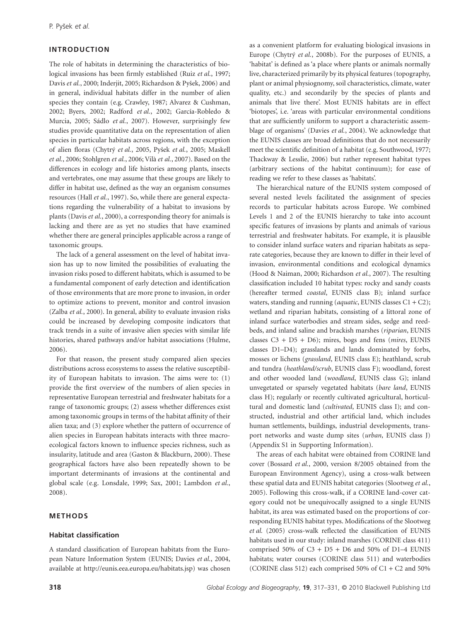# **INTRODUCTION**

The role of habitats in determining the characteristics of biological invasions has been firmly established (Ruiz *et al.*, 1997; Davis *et al.*, 2000; Inderjit, 2005; Richardson & Pyšek, 2006) and in general, individual habitats differ in the number of alien species they contain (e.g. Crawley, 1987; Alvarez & Cushman, 2002; Byers, 2002; Radford *et al.*, 2002; García-Robledo & Murcia, 2005; Sádlo *et al.*, 2007). However, surprisingly few studies provide quantitative data on the representation of alien species in particular habitats across regions, with the exception of alien floras (Chytrý *et al.*, 2005, Pyšek *et al.*, 2005; Maskell *et al.*, 2006; Stohlgren *et al.*, 2006; Vilà *et al.*, 2007). Based on the differences in ecology and life histories among plants, insects and vertebrates, one may assume that these groups are likely to differ in habitat use, defined as the way an organism consumes resources (Hall *et al.*, 1997). So, while there are general expectations regarding the vulnerability of a habitat to invasions by plants (Davis *et al.*, 2000), a corresponding theory for animals is lacking and there are as yet no studies that have examined whether there are general principles applicable across a range of taxonomic groups.

The lack of a general assessment on the level of habitat invasion has up to now limited the possibilities of evaluating the invasion risks posed to different habitats, which is assumed to be a fundamental component of early detection and identification of those environments that are more prone to invasion, in order to optimize actions to prevent, monitor and control invasion (Zalba *et al.*, 2000). In general, ability to evaluate invasion risks could be increased by developing composite indicators that track trends in a suite of invasive alien species with similar life histories, shared pathways and/or habitat associations (Hulme, 2006).

For that reason, the present study compared alien species distributions across ecosystems to assess the relative susceptibility of European habitats to invasion. The aims were to: (1) provide the first overview of the numbers of alien species in representative European terrestrial and freshwater habitats for a range of taxonomic groups; (2) assess whether differences exist among taxonomic groups in terms of the habitat affinity of their alien taxa; and (3) explore whether the pattern of occurrence of alien species in European habitats interacts with three macroecological factors known to influence species richness, such as insularity, latitude and area (Gaston & Blackburn, 2000). These geographical factors have also been repeatedly shown to be important determinants of invasions at the continental and global scale (e.g. Lonsdale, 1999; Sax, 2001; Lambdon *et al.*, 2008).

## **METHODS**

## **Habitat classification**

A standard classification of European habitats from the European Nature Information System (EUNIS; Davies *et al.*, 2004, available at http://eunis.eea.europa.eu/habitats.jsp) was chosen

as a convenient platform for evaluating biological invasions in Europe (Chytrý *et al.*, 2008b). For the purposes of EUNIS, a 'habitat' is defined as 'a place where plants or animals normally live, characterized primarily by its physical features (topography, plant or animal physiognomy, soil characteristics, climate, water quality, etc.) and secondarily by the species of plants and animals that live there'. Most EUNIS habitats are in effect 'biotopes', i.e. 'areas with particular environmental conditions that are sufficiently uniform to support a characteristic assemblage of organisms' (Davies *et al.*, 2004). We acknowledge that the EUNIS classes are broad definitions that do not necessarily meet the scientific definition of a habitat (e.g. Southwood, 1977; Thackway & Lesslie, 2006) but rather represent habitat types (arbitrary sections of the habitat continuum); for ease of reading we refer to these classes as 'habitats'.

The hierarchical nature of the EUNIS system composed of several nested levels facilitated the assignment of species records to particular habitats across Europe. We combined Levels 1 and 2 of the EUNIS hierarchy to take into account specific features of invasions by plants and animals of various terrestrial and freshwater habitats. For example, it is plausible to consider inland surface waters and riparian habitats as separate categories, because they are known to differ in their level of invasion, environmental conditions and ecological dynamics (Hood & Naiman, 2000; Richardson *et al.*, 2007). The resulting classification included 10 habitat types: rocky and sandy coasts (hereafter termed *coastal*, EUNIS class B); inland surface waters, standing and running (*aquatic*, EUNIS classes C1 + C2); wetland and riparian habitats, consisting of a littoral zone of inland surface waterbodies and stream sides, sedge and reedbeds, and inland saline and brackish marshes (*riparian*, EUNIS classes C3 + D5 + D6); mires, bogs and fens (*mires*, EUNIS classes D1–D4); grasslands and lands dominated by forbs, mosses or lichens (*grassland*, EUNIS class E); heathland, scrub and tundra (*heathland/scrub*, EUNIS class F); woodland, forest and other wooded land (*woodland*, EUNIS class G); inland unvegetated or sparsely vegetated habitats (*bare land*, EUNIS class H); regularly or recently cultivated agricultural, horticultural and domestic land (*cultivated*, EUNIS class I); and constructed, industrial and other artificial land, which includes human settlements, buildings, industrial developments, transport networks and waste dump sites (*urban*, EUNIS class J) (Appendix S1 in Supporting Information).

The areas of each habitat were obtained from CORINE land cover (Bossard *et al.*, 2000, version 8/2005 obtained from the European Environment Agency), using a cross-walk between these spatial data and EUNIS habitat categories (Slootweg *et al.*, 2005). Following this cross-walk, if a CORINE land-cover category could not be unequivocally assigned to a single EUNIS habitat, its area was estimated based on the proportions of corresponding EUNIS habitat types. Modifications of the Slootweg *et al.* (2005) cross-walk reflected the classification of EUNIS habitats used in our study: inland marshes (CORINE class 411) comprised 50% of  $C3 + D5 + D6$  and 50% of D1-4 EUNIS habitats; water courses (CORINE class 511) and waterbodies (CORINE class 512) each comprised 50% of  $C1 + C2$  and 50%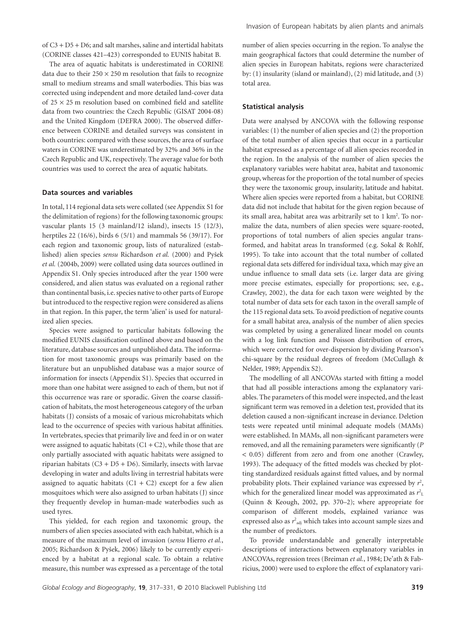of C3 + D5 + D6; and salt marshes, saline and intertidal habitats (CORINE classes 421–423) corresponded to EUNIS habitat B.

The area of aquatic habitats is underestimated in CORINE data due to their  $250 \times 250$  m resolution that fails to recognize small to medium streams and small waterbodies. This bias was corrected using independent and more detailed land-cover data of  $25 \times 25$  m resolution based on combined field and satellite data from two countries: the Czech Republic (GISAT 2004-08) and the United Kingdom (DEFRA 2000). The observed difference between CORINE and detailed surveys was consistent in both countries: compared with these sources, the area of surface waters in CORINE was underestimated by 32% and 36% in the Czech Republic and UK, respectively. The average value for both countries was used to correct the area of aquatic habitats.

#### **Data sources and variables**

In total, 114 regional data sets were collated (see Appendix S1 for the delimitation of regions) for the following taxonomic groups: vascular plants 15 (3 mainland/12 island), insects 15 (12/3), herptiles 22 (16/6), birds 6 (5/1) and mammals 56 (39/17). For each region and taxonomic group, lists of naturalized (established) alien species *sensu* Richardson *et al.* (2000) and Pyšek *et al.* (2004b, 2009) were collated using data sources outlined in Appendix S1. Only species introduced after the year 1500 were considered, and alien status was evaluated on a regional rather than continental basis, i.e. species native to other parts of Europe but introduced to the respective region were considered as aliens in that region. In this paper, the term 'alien' is used for naturalized alien species.

Species were assigned to particular habitats following the modified EUNIS classification outlined above and based on the literature, database sources and unpublished data. The information for most taxonomic groups was primarily based on the literature but an unpublished database was a major source of information for insects (Appendix S1). Species that occurred in more than one habitat were assigned to each of them, but not if this occurrence was rare or sporadic. Given the coarse classification of habitats, the most heterogeneous category of the urban habitats (J) consists of a mosaic of various microhabitats which lead to the occurrence of species with various habitat affinities. In vertebrates, species that primarily live and feed in or on water were assigned to aquatic habitats  $(C1 + C2)$ , while those that are only partially associated with aquatic habitats were assigned to riparian habitats  $(C3 + D5 + D6)$ . Similarly, insects with larvae developing in water and adults living in terrestrial habitats were assigned to aquatic habitats  $(C1 + C2)$  except for a few alien mosquitoes which were also assigned to urban habitats (J) since they frequently develop in human-made waterbodies such as used tyres.

This yielded, for each region and taxonomic group, the numbers of alien species associated with each habitat, which is a measure of the maximum level of invasion (*sensu* Hierro *et al.*, 2005; Richardson & Pyšek, 2006) likely to be currently experienced by a habitat at a regional scale. To obtain a relative measure, this number was expressed as a percentage of the total Invasion of European habitats by alien plants and animals

number of alien species occurring in the region. To analyse the main geographical factors that could determine the number of alien species in European habitats, regions were characterized by: (1) insularity (island or mainland), (2) mid latitude, and (3) total area.

#### **Statistical analysis**

Data were analysed by ANCOVA with the following response variables: (1) the number of alien species and (2) the proportion of the total number of alien species that occur in a particular habitat expressed as a percentage of all alien species recorded in the region. In the analysis of the number of alien species the explanatory variables were habitat area, habitat and taxonomic group, whereas for the proportion of the total number of species they were the taxonomic group, insularity, latitude and habitat. Where alien species were reported from a habitat, but CORINE data did not include that habitat for the given region because of its small area, habitat area was arbitrarily set to 1 km<sup>2</sup>. To normalize the data, numbers of alien species were square-rooted, proportions of total numbers of alien species angular transformed, and habitat areas ln transformed (e.g. Sokal & Rohlf, 1995). To take into account that the total number of collated regional data sets differed for individual taxa, which may give an undue influence to small data sets (i.e. larger data are giving more precise estimates, especially for proportions; see, e.g., Crawley, 2002), the data for each taxon were weighted by the total number of data sets for each taxon in the overall sample of the 115 regional data sets. To avoid prediction of negative counts for a small habitat area, analysis of the number of alien species was completed by using a generalized linear model on counts with a log link function and Poisson distribution of errors, which were corrected for over-dispersion by dividing Pearson's chi-square by the residual degrees of freedom (McCullagh & Nelder, 1989; Appendix S2).

The modelling of all ANCOVAs started with fitting a model that had all possible interactions among the explanatory variables. The parameters of this model were inspected, and the least significant term was removed in a deletion test, provided that its deletion caused a non-significant increase in deviance. Deletion tests were repeated until minimal adequate models (MAMs) were established. In MAMs, all non-significant parameters were removed, and all the remaining parameters were significantly (*P* < 0.05) different from zero and from one another (Crawley, 1993). The adequacy of the fitted models was checked by plotting standardized residuals against fitted values, and by normal probability plots. Their explained variance was expressed by  $r^2$ , which for the generalized linear model was approximated as  $r<sup>2</sup><sub>L</sub>$ (Quinn & Keough, 2002, pp. 370–2); where appropriate for comparison of different models, explained variance was expressed also as  $r^2$ <sub>adj</sub> which takes into account sample sizes and the number of predictors.

To provide understandable and generally interpretable descriptions of interactions between explanatory variables in ANCOVAs, regression trees (Breiman *et al.*, 1984; De'ath & Fabricius, 2000) were used to explore the effect of explanatory vari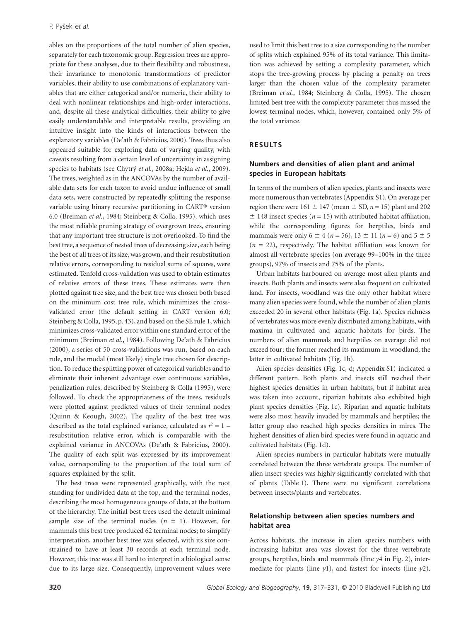ables on the proportions of the total number of alien species, separately for each taxonomic group. Regression trees are appropriate for these analyses, due to their flexibility and robustness, their invariance to monotonic transformations of predictor variables, their ability to use combinations of explanatory variables that are either categorical and/or numeric, their ability to deal with nonlinear relationships and high-order interactions, and, despite all these analytical difficulties, their ability to give easily understandable and interpretable results, providing an intuitive insight into the kinds of interactions between the explanatory variables (De'ath & Fabricius, 2000). Trees thus also appeared suitable for exploring data of varying quality, with caveats resulting from a certain level of uncertainty in assigning species to habitats (see Chytrý *et al.*, 2008a; Hejda *et al.*, 2009). The trees, weighted as in the ANCOVAs by the number of available data sets for each taxon to avoid undue influence of small data sets, were constructed by repeatedly splitting the response variable using binary recursive partitioning in CART® version 6.0 (Breiman *et al.*, 1984; Steinberg & Colla, 1995), which uses the most reliable pruning strategy of overgrown trees, ensuring that any important tree structure is not overlooked. To find the best tree, a sequence of nested trees of decreasing size, each being the best of all trees of its size, was grown, and their resubstitution relative errors, corresponding to residual sums of squares, were estimated. Tenfold cross-validation was used to obtain estimates of relative errors of these trees. These estimates were then plotted against tree size, and the best tree was chosen both based on the minimum cost tree rule, which minimizes the crossvalidated error (the default setting in CART version 6.0; Steinberg & Colla, 1995, p. 43), and based on the SE rule 1, which minimizes cross-validated error within one standard error of the minimum (Breiman *et al.*, 1984). Following De'ath & Fabricius (2000), a series of 50 cross-validations was run, based on each rule, and the modal (most likely) single tree chosen for description. To reduce the splitting power of categorical variables and to eliminate their inherent advantage over continuous variables, penalization rules, described by Steinberg & Colla (1995), were followed. To check the appropriateness of the trees, residuals were plotted against predicted values of their terminal nodes (Quinn & Keough, 2002). The quality of the best tree was described as the total explained variance, calculated as  $r^2 = 1$  – resubstitution relative error, which is comparable with the explained variance in ANCOVAs (De'ath & Fabricius, 2000). The quality of each split was expressed by its improvement value, corresponding to the proportion of the total sum of squares explained by the split.

The best trees were represented graphically, with the root standing for undivided data at the top, and the terminal nodes, describing the most homogeneous groups of data, at the bottom of the hierarchy. The initial best trees used the default minimal sample size of the terminal nodes  $(n = 1)$ . However, for mammals this best tree produced 62 terminal nodes; to simplify interpretation, another best tree was selected, with its size constrained to have at least 30 records at each terminal node. However, this tree was still hard to interpret in a biological sense due to its large size. Consequently, improvement values were used to limit this best tree to a size corresponding to the number of splits which explained 95% of its total variance. This limitation was achieved by setting a complexity parameter, which stops the tree-growing process by placing a penalty on trees larger than the chosen value of the complexity parameter (Breiman *et al.*, 1984; Steinberg & Colla, 1995). The chosen limited best tree with the complexity parameter thus missed the lowest terminal nodes, which, however, contained only 5% of the total variance.

#### **RESULTS**

# **Numbers and densities of alien plant and animal species in European habitats**

In terms of the numbers of alien species, plants and insects were more numerous than vertebrates (Appendix S1). On average per region there were  $161 \pm 147$  (mean  $\pm$  SD,  $n = 15$ ) plant and 202  $\pm$  148 insect species ( $n = 15$ ) with attributed habitat affiliation, while the corresponding figures for herptiles, birds and mammals were only  $6 \pm 4$  ( $n = 56$ ),  $13 \pm 11$  ( $n = 6$ ) and  $5 \pm 5$  $(n = 22)$ , respectively. The habitat affiliation was known for almost all vertebrate species (on average 99–100% in the three groups), 97% of insects and 75% of the plants.

Urban habitats harboured on average most alien plants and insects. Both plants and insects were also frequent on cultivated land. For insects, woodland was the only other habitat where many alien species were found, while the number of alien plants exceeded 20 in several other habitats (Fig. 1a). Species richness of vertebrates was more evenly distributed among habitats, with maxima in cultivated and aquatic habitats for birds. The numbers of alien mammals and herptiles on average did not exceed four; the former reached its maximum in woodland, the latter in cultivated habitats (Fig. 1b).

Alien species densities (Fig. 1c, d; Appendix S1) indicated a different pattern. Both plants and insects still reached their highest species densities in urban habitats, but if habitat area was taken into account, riparian habitats also exhibited high plant species densities (Fig. 1c). Riparian and aquatic habitats were also most heavily invaded by mammals and herptiles; the latter group also reached high species densities in mires. The highest densities of alien bird species were found in aquatic and cultivated habitats (Fig. 1d).

Alien species numbers in particular habitats were mutually correlated between the three vertebrate groups. The number of alien insect species was highly significantly correlated with that of plants (Table 1). There were no significant correlations between insects/plants and vertebrates.

## **Relationship between alien species numbers and habitat area**

Across habitats, the increase in alien species numbers with increasing habitat area was slowest for the three vertebrate groups, herptiles, birds and mammals (line *y*4 in Fig. 2), intermediate for plants (line *y*1), and fastest for insects (line *y*2).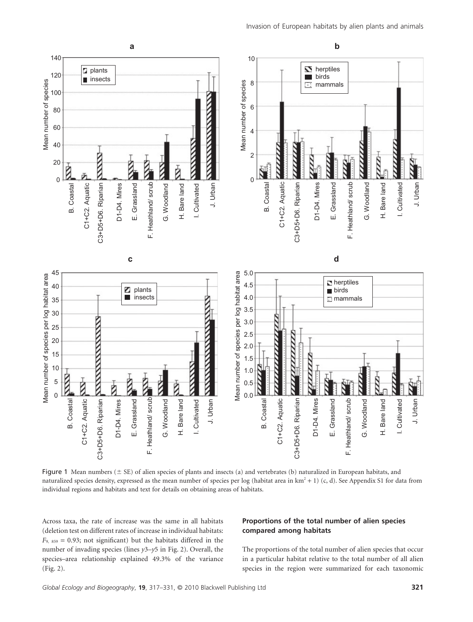

Figure 1 Mean numbers ( $\pm$  SE) of alien species of plants and insects (a) and vertebrates (b) naturalized in European habitats, and naturalized species density, expressed as the mean number of species per log (habitat area in km<sup>2</sup> + 1) (c, d). See Appendix S1 for data from individual regions and habitats and text for details on obtaining areas of habitats.

Across taxa, the rate of increase was the same in all habitats (deletion test on different rates of increase in individual habitats:  $F_{9, 859} = 0.93$ ; not significant) but the habitats differed in the number of invading species (lines *y*3–*y*5 in Fig. 2). Overall, the species–area relationship explained 49.3% of the variance (Fig. 2).

# **Proportions of the total number of alien species compared among habitats**

The proportions of the total number of alien species that occur in a particular habitat relative to the total number of all alien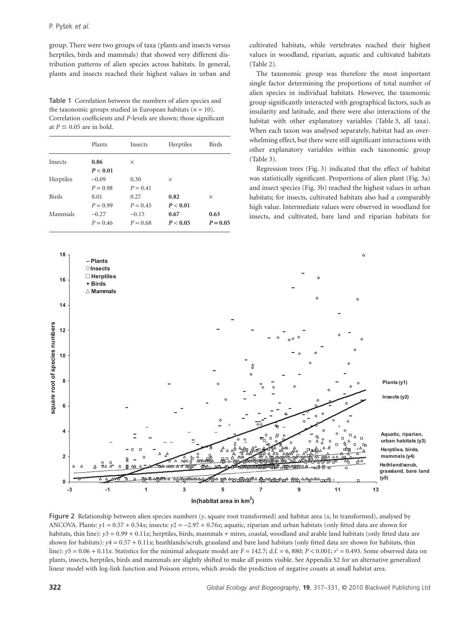group. There were two groups of taxa (plants and insects versus herptiles, birds and mammals) that showed very different distribution patterns of alien species across habitats. In general, plants and insects reached their highest values in urban and

Table 1 Correlation between the numbers of alien species and the taxonomic groups studied in European habitats ( $n = 10$ ). Correlation coefficients and *P*-levels are shown; those significant at  $P \leq 0.05$  are in bold.

| Plants     | <b>Insects</b> | Herptiles | <b>Birds</b> |
|------------|----------------|-----------|--------------|
| 0.86       | $\times$       |           |              |
| P < 0.01   |                |           |              |
| $-0.09$    | 0.30           | $\times$  |              |
| $P = 0.98$ | $P = 0.41$     |           |              |
| 0.01       | 0.27           | 0.82      | X            |
| $P = 0.99$ | $P = 0.45$     | P < 0.01  |              |
| $-0.27$    | $-0.15$        | 0.67      | 0.63         |
| $P = 0.46$ | $P = 0.68$     | P < 0.05  | $P = 0.05$   |
|            |                |           |              |

cultivated habitats, while vertebrates reached their highest values in woodland, riparian, aquatic and cultivated habitats (Table 2).

The taxonomic group was therefore the most important single factor determining the proportions of total number of alien species in individual habitats. However, the taxonomic group significantly interacted with geographical factors, such as insularity and latitude, and there were also interactions of the habitat with other explanatory variables (Table 3, all taxa). When each taxon was analysed separately, habitat had an overwhelming effect, but there were still significant interactions with other explanatory variables within each taxonomic group (Table 3).

Regression trees (Fig. 3) indicated that the effect of habitat was statistically significant. Proportions of alien plant (Fig. 3a) and insect species (Fig. 3b) reached the highest values in urban habitats; for insects, cultivated habitats also had a comparably high value. Intermediate values were observed in woodland for insects, and cultivated, bare land and riparian habitats for



Figure 2 Relationship between alien species numbers (*y*, square root transformed) and habitat area (*x*, ln transformed), analysed by ANCOVA. Plants:  $y1 = 0.57 + 0.54x$ ; insects:  $y2 = -2.97 + 0.76x$ ; aquatic, riparian and urban habitats (only fitted data are shown for habitats, thin line):  $y3 = 0.99 + 0.11x$ ; herptiles, birds, mammals + mires, coastal, woodland and arable land habitats (only fitted data are shown for habitats):  $y4 = 0.57 + 0.11x$ ; heathlands/scrub, grassland and bare land habitats (only fitted data are shown for habitats, thin line):  $y5 = 0.06 + 0.11x$ . Statistics for the minimal adequate model are  $F = 142.7$ ; d.f. = 6, 880;  $P < 0.001$ ;  $r^2 = 0.493$ . Some observed data on plants, insects, herptiles, birds and mammals are slightly shifted to make all points visible. See Appendix S2 for an alternative generalized linear model with log-link function and Poisson errors, which avoids the prediction of negative counts at small habitat area.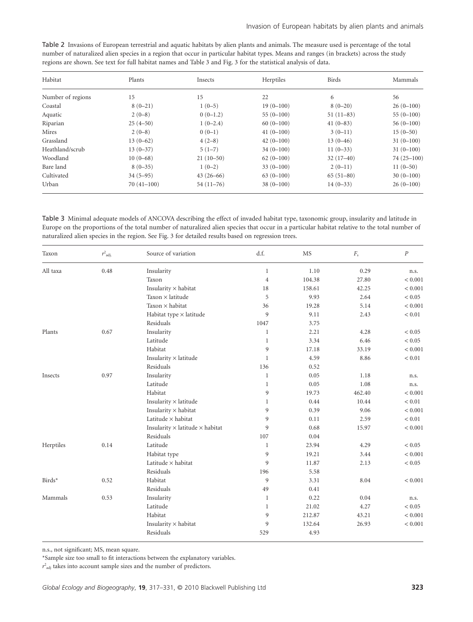| Habitat           | Plants       | Insects     | Herptiles   | <b>Birds</b> | Mammals        |
|-------------------|--------------|-------------|-------------|--------------|----------------|
| Number of regions | 15           | 15          | 22          | 6            | 56             |
| Coastal           | $8(0-21)$    | $1(0-5)$    | $19(0-100)$ | $8(0-20)$    | $26(0-100)$    |
| Aquatic           | $2(0-8)$     | $0(0-1.2)$  | $55(0-100)$ | $51(11-83)$  | $55(0-100)$    |
| Riparian          | $25(4-50)$   | $1(0-2.4)$  | $60(0-100)$ | $41(0-83)$   | $56(0-100)$    |
| Mires             | $2(0-8)$     | $0(0-1)$    | $41(0-100)$ | $3(0-11)$    | $15(0-50)$     |
| Grassland         | $13(0-62)$   | $4(2-8)$    | $42(0-100)$ | $13(0-46)$   | $31(0-100)$    |
| Heathland/scrub   | $13(0-37)$   | $5(1-7)$    | $34(0-100)$ | $11(0-33)$   | $31(0-100)$    |
| Woodland          | $10(0-68)$   | $21(10-50)$ | $62(0-100)$ | $32(17-40)$  | $74(25 - 100)$ |
| Bare land         | $8(0-35)$    | $1(0-2)$    | $33(0-100)$ | $2(0-11)$    | $11(0-50)$     |
| Cultivated        | $34(5-95)$   | $43(26-66)$ | $63(0-100)$ | $65(51-80)$  | $30(0-100)$    |
| Urban             | $70(41-100)$ | $54(11-76)$ | $38(0-100)$ | $14(0-33)$   | $26(0-100)$    |

Table 2 Invasions of European terrestrial and aquatic habitats by alien plants and animals. The measure used is percentage of the total number of naturalized alien species in a region that occur in particular habitat types. Means and ranges (in brackets) across the study regions are shown. See text for full habitat names and Table 3 and Fig. 3 for the statistical analysis of data.

Table 3 Minimal adequate models of ANCOVA describing the effect of invaded habitat type, taxonomic group, insularity and latitude in Europe on the proportions of the total number of naturalized alien species that occur in a particular habitat relative to the total number of naturalized alien species in the region. See Fig. 3 for detailed results based on regression trees.

| Taxon            | $r^2$ <sub>adj.</sub> | Source of variation                           | d.f.         | MS     | $F_{\rm s}$ | $\boldsymbol{P}$ |
|------------------|-----------------------|-----------------------------------------------|--------------|--------|-------------|------------------|
| All taxa<br>0.48 |                       | Insularity                                    | $\mathbf{1}$ | 1.10   | 0.29        | n.s.             |
|                  |                       | Taxon                                         | $\,4\,$      | 104.38 | 27.80       | < 0.001          |
|                  |                       | Insularity $\times$ habitat                   | 18           | 158.61 | 42.25       | < 0.001          |
|                  |                       | Taxon × latitude                              | 5            | 9.93   | 2.64        | < 0.05           |
|                  |                       | Taxon $\times$ habitat                        | 36           | 19.28  | 5.14        | < 0.001          |
|                  |                       | Habitat type × latitude                       | 9            | 9.11   | 2.43        | < 0.01           |
|                  |                       | Residuals                                     | 1047         | 3.75   |             |                  |
| Plants<br>0.67   |                       | Insularity                                    | $\mathbf{1}$ | 2.21   | 4.28        | < 0.05           |
|                  |                       | Latitude                                      | $\mathbf{1}$ | 3.34   | 6.46        | < 0.05           |
|                  |                       | Habitat                                       | 9            | 17.18  | 33.19       | < 0.001          |
|                  |                       | Insularity $\times$ latitude                  | $\mathbf{1}$ | 4.59   | 8.86        | < 0.01           |
|                  |                       | Residuals                                     | 136          | 0.52   |             |                  |
| 0.97<br>Insects  |                       | Insularity                                    | $\mathbf{1}$ | 0.05   | 1.18        | n.s.             |
|                  |                       | Latitude                                      | $\mathbf{1}$ | 0.05   | 1.08        | n.s.             |
|                  |                       | Habitat                                       | 9            | 19.73  | 462.40      | < 0.001          |
|                  |                       | Insularity $\times$ latitude                  | $\mathbf{1}$ | 0.44   | 10.44       | < 0.01           |
|                  |                       | Insularity $\times$ habitat                   | 9            | 0.39   | 9.06        | < 0.001          |
|                  |                       | Latitude $\times$ habitat                     | 9            | 0.11   | 2.59        | < 0.01           |
|                  |                       | Insularity $\times$ latitude $\times$ habitat | 9            | 0.68   | 15.97       | < 0.001          |
|                  |                       | Residuals                                     | 107          | 0.04   |             |                  |
| Herptiles        | 0.14                  | Latitude                                      | $\mathbf{1}$ | 23.94  | 4.29        | < 0.05           |
|                  |                       | Habitat type                                  | 9            | 19.21  | 3.44        | < 0.001          |
|                  |                       | Latitude $\times$ habitat                     | 9            | 11.87  | 2.13        | < 0.05           |
|                  |                       | Residuals                                     | 196          | 5.58   |             |                  |
| Birds*           | 0.52                  | Habitat                                       | 9            | 3.31   | 8.04        | < 0.001          |
|                  |                       | Residuals                                     | 49           | 0.41   |             |                  |
| Mammals          | 0.53                  | Insularity                                    | $\mathbf{1}$ | 0.22   | 0.04        | n.s.             |
|                  |                       | Latitude                                      | $\mathbf{1}$ | 21.02  | 4.27        | < 0.05           |
|                  |                       | Habitat                                       | 9            | 212.87 | 43.21       | < 0.001          |
|                  |                       | Insularity $\times$ habitat                   | 9            | 132.64 | 26.93       | < 0.001          |
|                  |                       | Residuals                                     | 529          | 4.93   |             |                  |

n.s., not significant; MS, mean square.

\*Sample size too small to fit interactions between the explanatory variables.

 $r^2$ <sub>adj</sub> takes into account sample sizes and the number of predictors.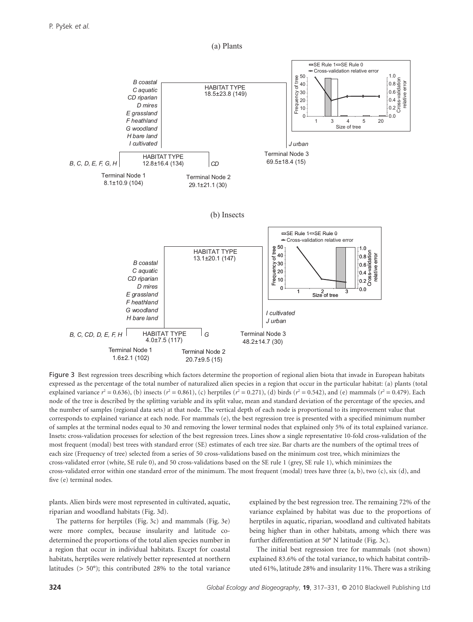

(a) Plants

Figure 3 Best regression trees describing which factors determine the proportion of regional alien biota that invade in European habitats expressed as the percentage of the total number of naturalized alien species in a region that occur in the particular habitat: (a) plants (total explained variance  $r^2 = 0.636$ ), (b) insects ( $r^2 = 0.861$ ), (c) herptiles ( $r^2 = 0.271$ ), (d) birds ( $r^2 = 0.542$ ), and (e) mammals ( $r^2 = 0.479$ ). Each node of the tree is described by the splitting variable and its split value, mean and standard deviation of the percentage of the species, and the number of samples (regional data sets) at that node. The vertical depth of each node is proportional to its improvement value that corresponds to explained variance at each node. For mammals (e), the best regression tree is presented with a specified minimum number of samples at the terminal nodes equal to 30 and removing the lower terminal nodes that explained only 5% of its total explained variance. Insets: cross-validation processes for selection of the best regression trees. Lines show a single representative 10-fold cross-validation of the most frequent (modal) best trees with standard error (SE) estimates of each tree size. Bar charts are the numbers of the optimal trees of each size (Frequency of tree) selected from a series of 50 cross-validations based on the minimum cost tree, which minimizes the cross-validated error (white, SE rule 0), and 50 cross-validations based on the SE rule 1 (grey, SE rule 1), which minimizes the cross-validated error within one standard error of the minimum. The most frequent (modal) trees have three (a, b), two (c), six (d), and five (e) terminal nodes.

plants. Alien birds were most represented in cultivated, aquatic, riparian and woodland habitats (Fig. 3d).

The patterns for herptiles (Fig. 3c) and mammals (Fig. 3e) were more complex, because insularity and latitude codetermined the proportions of the total alien species number in a region that occur in individual habitats. Except for coastal habitats, herptiles were relatively better represented at northern latitudes (> 50°); this contributed 28% to the total variance explained by the best regression tree. The remaining 72% of the variance explained by habitat was due to the proportions of herptiles in aquatic, riparian, woodland and cultivated habitats being higher than in other habitats, among which there was further differentiation at 50° N latitude (Fig. 3c).

The initial best regression tree for mammals (not shown) explained 83.6% of the total variance, to which habitat contributed 61%, latitude 28% and insularity 11%. There was a striking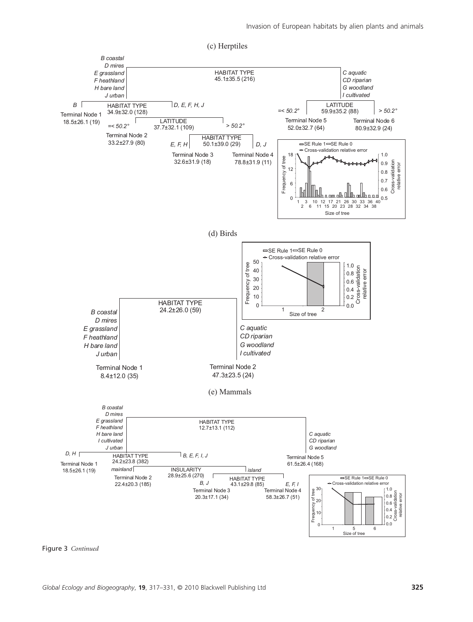

Figure 3 *Continued*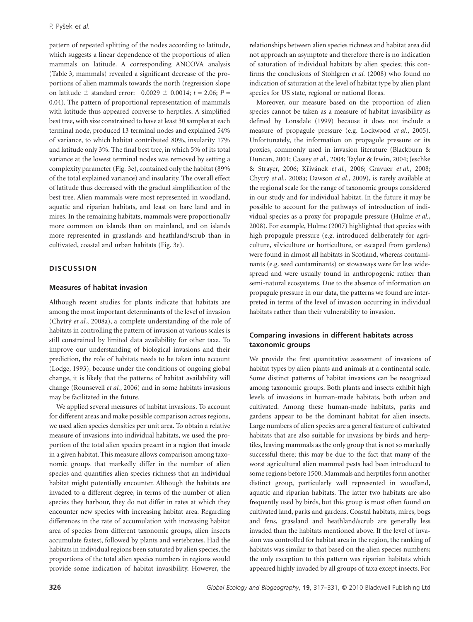pattern of repeated splitting of the nodes according to latitude, which suggests a linear dependence of the proportions of alien mammals on latitude. A corresponding ANCOVA analysis (Table 3, mammals) revealed a significant decrease of the proportions of alien mammals towards the north (regression slope on latitude  $\pm$  standard error:  $-0.0029 \pm 0.0014$ ;  $t = 2.06$ ;  $P =$ 0.04). The pattern of proportional representation of mammals with latitude thus appeared converse to herptiles. A simplified best tree, with size constrained to have at least 30 samples at each terminal node, produced 13 terminal nodes and explained 54% of variance, to which habitat contributed 80%, insularity 17% and latitude only 3%. The final best tree, in which 5% of its total variance at the lowest terminal nodes was removed by setting a complexity parameter (Fig. 3e), contained only the habitat (89% of the total explained variance) and insularity. The overall effect of latitude thus decreased with the gradual simplification of the best tree. Alien mammals were most represented in woodland, aquatic and riparian habitats, and least on bare land and in mires. In the remaining habitats, mammals were proportionally more common on islands than on mainland, and on islands more represented in grasslands and heathland/scrub than in cultivated, coastal and urban habitats (Fig. 3e).

#### **DISCUSSION**

#### **Measures of habitat invasion**

Although recent studies for plants indicate that habitats are among the most important determinants of the level of invasion (Chytrý *et al.*, 2008a), a complete understanding of the role of habitats in controlling the pattern of invasion at various scales is still constrained by limited data availability for other taxa. To improve our understanding of biological invasions and their prediction, the role of habitats needs to be taken into account (Lodge, 1993), because under the conditions of ongoing global change, it is likely that the patterns of habitat availability will change (Rounsevell *et al.*, 2006) and in some habitats invasions may be facilitated in the future.

We applied several measures of habitat invasions. To account for different areas and make possible comparison across regions, we used alien species densities per unit area. To obtain a relative measure of invasions into individual habitats, we used the proportion of the total alien species present in a region that invade in a given habitat. This measure allows comparison among taxonomic groups that markedly differ in the number of alien species and quantifies alien species richness that an individual habitat might potentially encounter. Although the habitats are invaded to a different degree, in terms of the number of alien species they harbour, they do not differ in rates at which they encounter new species with increasing habitat area. Regarding differences in the rate of accumulation with increasing habitat area of species from different taxonomic groups, alien insects accumulate fastest, followed by plants and vertebrates. Had the habitats in individual regions been saturated by alien species, the proportions of the total alien species numbers in regions would provide some indication of habitat invasibility. However, the relationships between alien species richness and habitat area did not approach an asymptote and therefore there is no indication of saturation of individual habitats by alien species; this confirms the conclusions of Stohlgren *et al.* (2008) who found no indication of saturation at the level of habitat type by alien plant species for US state, regional or national floras.

Moreover, our measure based on the proportion of alien species cannot be taken as a measure of habitat invasibility as defined by Lonsdale (1999) because it does not include a measure of propagule pressure (e.g. Lockwood *et al.*, 2005). Unfortunately, the information on propagule pressure or its proxies, commonly used in invasion literature (Blackburn & Duncan, 2001; Cassey *et al.*, 2004; Taylor & Irwin, 2004; Jeschke & Strayer, 2006; Křivánek et al., 2006; Gravuer et al., 2008; Chytrý *et al.*, 2008a; Dawson *et al.*, 2009), is rarely available at the regional scale for the range of taxonomic groups considered in our study and for individual habitat. In the future it may be possible to account for the pathways of introduction of individual species as a proxy for propagule pressure (Hulme *et al.*, 2008). For example, Hulme (2007) highlighted that species with high propagule pressure (e.g. introduced deliberately for agriculture, silviculture or horticulture, or escaped from gardens) were found in almost all habitats in Scotland, whereas contaminants (e.g. seed contaminants) or stowaways were far less widespread and were usually found in anthropogenic rather than semi-natural ecosystems. Due to the absence of information on propagule pressure in our data, the patterns we found are interpreted in terms of the level of invasion occurring in individual habitats rather than their vulnerability to invasion.

## **Comparing invasions in different habitats across taxonomic groups**

We provide the first quantitative assessment of invasions of habitat types by alien plants and animals at a continental scale. Some distinct patterns of habitat invasions can be recognized among taxonomic groups. Both plants and insects exhibit high levels of invasions in human-made habitats, both urban and cultivated. Among these human-made habitats, parks and gardens appear to be the dominant habitat for alien insects. Large numbers of alien species are a general feature of cultivated habitats that are also suitable for invasions by birds and herptiles, leaving mammals as the only group that is not so markedly successful there; this may be due to the fact that many of the worst agricultural alien mammal pests had been introduced to some regions before 1500. Mammals and herptiles form another distinct group, particularly well represented in woodland, aquatic and riparian habitats. The latter two habitats are also frequently used by birds, but this group is most often found on cultivated land, parks and gardens. Coastal habitats, mires, bogs and fens, grassland and heathland/scrub are generally less invaded than the habitats mentioned above. If the level of invasion was controlled for habitat area in the region, the ranking of habitats was similar to that based on the alien species numbers; the only exception to this pattern was riparian habitats which appeared highly invaded by all groups of taxa except insects. For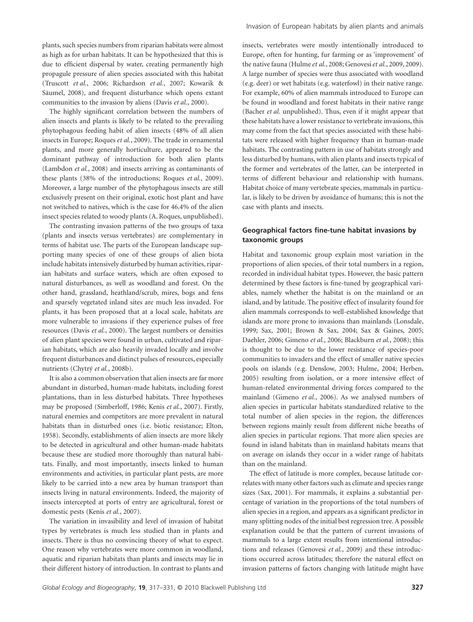plants, such species numbers from riparian habitats were almost as high as for urban habitats. It can be hypothesized that this is due to efficient dispersal by water, creating permanently high propagule pressure of alien species associated with this habitat (Truscott *et al.*, 2006; Richardson *et al.*, 2007; Kowarik & Säumel, 2008), and frequent disturbance which opens extant communities to the invasion by aliens (Davis *et al.*, 2000).

The highly significant correlation between the numbers of alien insects and plants is likely to be related to the prevailing phytophagous feeding habit of alien insects (48% of all alien insects in Europe; Roques *et al.*, 2009). The trade in ornamental plants, and more generally horticulture, appeared to be the dominant pathway of introduction for both alien plants (Lambdon *et al.*, 2008) and insects arriving as contaminants of these plants (38% of the introductions; Roques *et al.*, 2009). Moreover, a large number of the phytophagous insects are still exclusively present on their original, exotic host plant and have not switched to natives, which is the case for 46.4% of the alien insect species related to woody plants (A. Roques, unpublished).

The contrasting invasion patterns of the two groups of taxa (plants and insects versus vertebrates) are complementary in terms of habitat use. The parts of the European landscape supporting many species of one of these groups of alien biota include habitats intensively disturbed by human activities, riparian habitats and surface waters, which are often exposed to natural disturbances, as well as woodland and forest. On the other hand, grassland, heathland/scrub, mires, bogs and fens and sparsely vegetated inland sites are much less invaded. For plants, it has been proposed that at a local scale, habitats are more vulnerable to invasions if they experience pulses of free resources (Davis *et al.*, 2000). The largest numbers or densities of alien plant species were found in urban, cultivated and riparian habitats, which are also heavily invaded locally and involve frequent disturbances and distinct pulses of resources, especially nutrients (Chytrý *et al.*, 2008b).

It is also a common observation that alien insects are far more abundant in disturbed, human-made habitats, including forest plantations, than in less disturbed habitats. Three hypotheses may be proposed (Simberloff, 1986; Kenis *et al.*, 2007). Firstly, natural enemies and competitors are more prevalent in natural habitats than in disturbed ones (i.e. biotic resistance; Elton, 1958). Secondly, establishments of alien insects are more likely to be detected in agricultural and other human-made habitats because these are studied more thoroughly than natural habitats. Finally, and most importantly, insects linked to human environments and activities, in particular plant pests, are more likely to be carried into a new area by human transport than insects living in natural environments. Indeed, the majority of insects intercepted at ports of entry are agricultural, forest or domestic pests (Kenis *et al.*, 2007).

The variation in invasibility and level of invasion of habitat types by vertebrates is much less studied than in plants and insects. There is thus no convincing theory of what to expect. One reason why vertebrates were more common in woodland, aquatic and riparian habitats than plants and insects may lie in their different history of introduction. In contrast to plants and insects, vertebrates were mostly intentionally introduced to Europe, often for hunting, fur farming or as 'improvement' of the native fauna (Hulme *et al.*, 2008; Genovesi*et al.*, 2009, 2009). A large number of species were thus associated with woodland (e.g. deer) or wet habitats (e.g. waterfowl) in their native range. For example, 60% of alien mammals introduced to Europe can be found in woodland and forest habitats in their native range (Bacher *et al.* unpublished). Thus, even if it might appear that these habitats have a lower resistance to vertebrate invasions, this may come from the fact that species associated with these habitats were released with higher frequency than in human-made habitats. The contrasting pattern in use of habitats strongly and less disturbed by humans, with alien plants and insects typical of the former and vertebrates of the latter, can be interpreted in terms of different behaviour and relationship with humans. Habitat choice of many vertebrate species, mammals in particular, is likely to be driven by avoidance of humans; this is not the case with plants and insects.

# **Geographical factors fine-tune habitat invasions by taxonomic groups**

Habitat and taxonomic group explain most variation in the proportions of alien species, of their total numbers in a region, recorded in individual habitat types. However, the basic pattern determined by these factors is fine-tuned by geographical variables, namely whether the habitat is on the mainland or an island, and by latitude. The positive effect of insularity found for alien mammals corresponds to well-established knowledge that islands are more prone to invasions than mainlands (Lonsdale, 1999; Sax, 2001; Brown & Sax, 2004; Sax & Gaines, 2005; Daehler, 2006; Gimeno *et al.*, 2006; Blackburn *et al.*, 2008); this is thought to be due to the lower resistance of species-poor communities to invaders and the effect of smaller native species pools on islands (e.g. Denslow, 2003; Hulme, 2004; Herben, 2005) resulting from isolation, or a more intensive effect of human-related environmental driving forces compared to the mainland (Gimeno *et al.*, 2006). As we analysed numbers of alien species in particular habitats standardized relative to the total number of alien species in the region, the differences between regions mainly result from different niche breaths of alien species in particular regions. That more alien species are found in island habitats than in mainland habitats means that on average on islands they occur in a wider range of habitats than on the mainland.

The effect of latitude is more complex, because latitude correlates with many other factors such as climate and species range sizes (Sax, 2001). For mammals, it explains a substantial percentage of variation in the proportions of the total numbers of alien species in a region, and appears as a significant predictor in many splitting nodes of the initial best regression tree. A possible explanation could be that the pattern of current invasions of mammals to a large extent results from intentional introductions and releases (Genovesi *et al.*, 2009) and these introductions occurred across latitudes; therefore the natural effect on invasion patterns of factors changing with latitude might have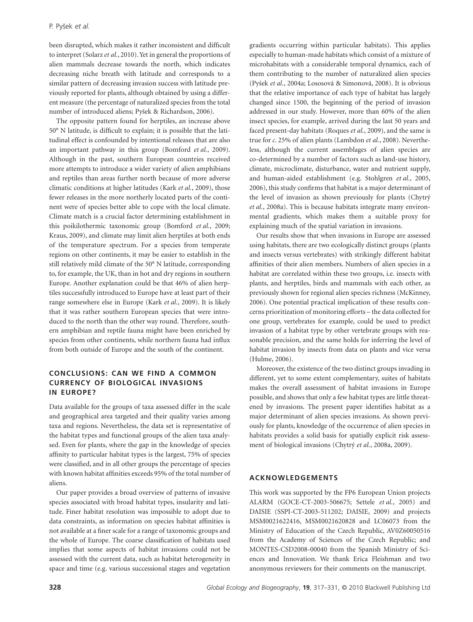been disrupted, which makes it rather inconsistent and difficult to interpret (Solarz *et al.*, 2010). Yet in general the proportions of alien mammals decrease towards the north, which indicates decreasing niche breath with latitude and corresponds to a similar pattern of decreasing invasion success with latitude previously reported for plants, although obtained by using a different measure (the percentage of naturalized species from the total number of introduced aliens; Pyšek & Richardson, 2006).

The opposite pattern found for herptiles, an increase above 50° N latitude, is difficult to explain; it is possible that the latitudinal effect is confounded by intentional releases that are also an important pathway in this group (Bomford *et al.*, 2009). Although in the past, southern European countries received more attempts to introduce a wider variety of alien amphibians and reptiles than areas further north because of more adverse climatic conditions at higher latitudes (Kark *et al.*, 2009), those fewer releases in the more northerly located parts of the continent were of species better able to cope with the local climate. Climate match is a crucial factor determining establishment in this poikilothermic taxonomic group (Bomford *et al.*, 2009; Kraus, 2009), and climate may limit alien herptiles at both ends of the temperature spectrum. For a species from temperate regions on other continents, it may be easier to establish in the still relatively mild climate of the 50° N latitude, corresponding to, for example, the UK, than in hot and dry regions in southern Europe. Another explanation could be that 46% of alien herptiles successfully introduced to Europe have at least part of their range somewhere else in Europe (Kark *et al.*, 2009). It is likely that it was rather southern European species that were introduced to the north than the other way round. Therefore, southern amphibian and reptile fauna might have been enriched by species from other continents, while northern fauna had influx from both outside of Europe and the south of the continent.

# **CONCLUSIONS: CAN WE FIND A COMMON CURRENCY OF BIOLOGICAL INVASIONS IN EUROPE?**

Data available for the groups of taxa assessed differ in the scale and geographical area targeted and their quality varies among taxa and regions. Nevertheless, the data set is representative of the habitat types and functional groups of the alien taxa analysed. Even for plants, where the gap in the knowledge of species affinity to particular habitat types is the largest, 75% of species were classified, and in all other groups the percentage of species with known habitat affinities exceeds 95% of the total number of aliens.

Our paper provides a broad overview of patterns of invasive species associated with broad habitat types, insularity and latitude. Finer habitat resolution was impossible to adopt due to data constraints, as information on species habitat affinities is not available at a finer scale for a range of taxonomic groups and the whole of Europe. The coarse classification of habitats used implies that some aspects of habitat invasions could not be assessed with the current data, such as habitat heterogeneity in space and time (e.g. various successional stages and vegetation gradients occurring within particular habitats). This applies especially to human-made habitats which consist of a mixture of microhabitats with a considerable temporal dynamics, each of them contributing to the number of naturalized alien species (Pyšek *et al.*, 2004a; Lososová & Simonová, 2008). It is obvious that the relative importance of each type of habitat has largely changed since 1500, the beginning of the period of invasion addressed in our study. However, more than 60% of the alien insect species, for example, arrived during the last 50 years and faced present-day habitats (Roques *et al.*, 2009), and the same is true for *c*. 25% of alien plants (Lambdon *et al.*, 2008). Nevertheless, although the current assemblages of alien species are co-determined by a number of factors such as land-use history, climate, microclimate, disturbance, water and nutrient supply, and human-aided establishment (e.g. Stohlgren *et al.*, 2005, 2006), this study confirms that habitat is a major determinant of the level of invasion as shown previously for plants (Chytrý *et al.*, 2008a). This is because habitats integrate many environmental gradients, which makes them a suitable proxy for explaining much of the spatial variation in invasions.

Our results show that when invasions in Europe are assessed using habitats, there are two ecologically distinct groups (plants and insects versus vertebrates) with strikingly different habitat affinities of their alien members. Numbers of alien species in a habitat are correlated within these two groups, i.e. insects with plants, and herptiles, birds and mammals with each other, as previously shown for regional alien species richness (McKinney, 2006). One potential practical implication of these results concerns prioritization of monitoring efforts – the data collected for one group, vertebrates for example, could be used to predict invasion of a habitat type by other vertebrate groups with reasonable precision, and the same holds for inferring the level of habitat invasion by insects from data on plants and vice versa (Hulme, 2006).

Moreover, the existence of the two distinct groups invading in different, yet to some extent complementary, suites of habitats makes the overall assessment of habitat invasions in Europe possible, and shows that only a few habitat types are little threatened by invasions. The present paper identifies habitat as a major determinant of alien species invasions. As shown previously for plants, knowledge of the occurrence of alien species in habitats provides a solid basis for spatially explicit risk assessment of biological invasions (Chytrý *et al.*, 2008a, 2009).

# **ACKNOWLEDGEMENTS**

This work was supported by the FP6 European Union projects ALARM (GOCE-CT-2003-506675; Settele *et al.*, 2005) and DAISIE (SSPI-CT-2003-511202; DAISIE, 2009) and projects MSM0021622416, MSM0021620828 and LC06073 from the Ministry of Education of the Czech Republic, AV0Z60050516 from the Academy of Sciences of the Czech Republic; and MONTES-CSD2008-00040 from the Spanish Ministry of Sciences and Innovation. We thank Erica Fleishman and two anonymous reviewers for their comments on the manuscript.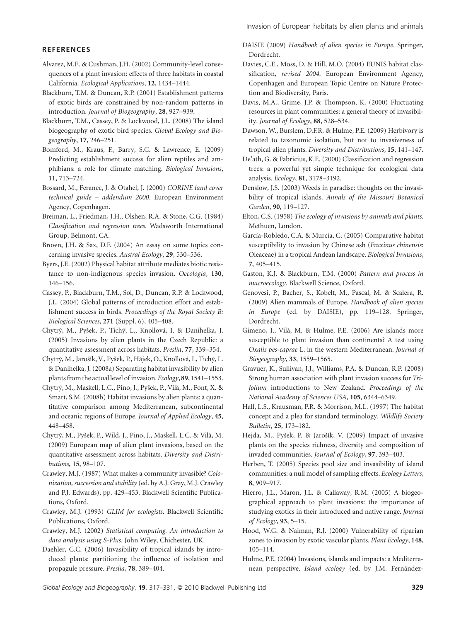## **REFERENCES**

- Alvarez, M.E. & Cushman, J.H. (2002) Community-level consequences of a plant invasion: effects of three habitats in coastal California. *Ecological Applications*, **12**, 1434–1444.
- Blackburn, T.M. & Duncan, R.P. (2001) Establishment patterns of exotic birds are constrained by non-random patterns in introduction. *Journal of Biogeography*, **28**, 927–939.
- Blackburn, T.M., Cassey, P. & Lockwood, J.L. (2008) The island biogeography of exotic bird species. *Global Ecology and Biogeography*, **17**, 246–251.
- Bomford, M., Kraus, F., Barry, S.C. & Lawrence, E. (2009) Predicting establishment success for alien reptiles and amphibians: a role for climate matching. *Biological Invasions*, **11**, 713–724.
- Bossard, M., Feranec, J. & Otahel, J. (2000) *CORINE land cover technical guide – addendum 2000*. European Environment Agency, Copenhagen.
- Breiman, L., Friedman, J.H., Olshen, R.A. & Stone, C.G. (1984) *Classification and regression trees*. Wadsworth International Group, Belmont, CA.
- Brown, J.H. & Sax, D.F. (2004) An essay on some topics concerning invasive species. *Austral Ecology*, **29**, 530–536.
- Byers, J.E. (2002) Physical habitat attribute mediates biotic resistance to non-indigenous species invasion. *Oecologia*, **130**, 146–156.
- Cassey, P., Blackburn, T.M., Sol, D., Duncan, R.P. & Lockwood, J.L. (2004) Global patterns of introduction effort and establishment success in birds. *Proceedings of the Royal Society B: Biological Sciences*, **271** (Suppl. 6), 405–408.
- Chytrý, M., Pyšek, P., Tichý, L., Knollová, I. & Danihelka, J. (2005) Invasions by alien plants in the Czech Republic: a quantitative assessment across habitats. *Preslia*, **77**, 339–354.
- Chytrý, M., Jarošík, V., Pyšek, P., Hájek, O., Knollová, I., Tichý, L. & Danihelka, J. (2008a) Separating habitat invasibility by alien plants from the actual level of invasion.*Ecology*,**89**, 1541–1553.
- Chytrý, M., Maskell, L.C., Pino, J., Pyšek, P., Vilà, M., Font, X. & Smart, S.M. (2008b) Habitat invasions by alien plants: a quantitative comparison among Mediterranean, subcontinental and oceanic regions of Europe. *Journal of Applied Ecology*, **45**, 448–458.
- Chytrý, M., Pyšek, P., Wild, J., Pino, J., Maskell, L.C. & Vilà, M. (2009) European map of alien plant invasions, based on the quantitative assessment across habitats. *Diversity and Distributions*, **15**, 98–107.
- Crawley, M.J. (1987) What makes a community invasible? *Colonization, succession and stability* (ed. by A.J. Gray, M.J. Crawley and P.J. Edwards), pp. 429–453. Blackwell Scientific Publications, Oxford.
- Crawley, M.J. (1993) *GLIM for ecologists*. Blackwell Scientific Publications, Oxford.
- Crawley, M.J. (2002) *Statistical computing. An introduction to data analysis using S-Plus*. John Wiley, Chichester, UK.
- Daehler, C.C. (2006) Invasibility of tropical islands by introduced plants: partitioning the influence of isolation and propagule pressure. *Preslia*, **78**, 389–404.
- DAISIE (2009) *Handbook of alien species in Europe*. Springer, Dordrecht.
- Davies, C.E., Moss, D. & Hill, M.O. (2004) EUNIS habitat classification*, revised 2004*. European Environment Agency, Copenhagen and European Topic Centre on Nature Protection and Biodiversity, Paris.
- Davis, M.A., Grime, J.P. & Thompson, K. (2000) Fluctuating resources in plant communities: a general theory of invasibility. *Journal of Ecology*, **88**, 528–534.
- Dawson, W., Burslem, D.F.R. & Hulme, P.E. (2009) Herbivory is related to taxonomic isolation, but not to invasiveness of tropical alien plants. *Diversity and Distributions*, **15**, 141–147.
- De'ath, G. & Fabricius, K.E. (2000) Classification and regression trees: a powerful yet simple technique for ecological data analysis. *Ecology*, **81**, 3178–3192.
- Denslow, J.S. (2003) Weeds in paradise: thoughts on the invasibility of tropical islands. *Annals of the Missouri Botanical Garden*, **90**, 119–127.
- Elton, C.S. (1958) *The ecology of invasions by animals and plants*. Methuen, London.
- García-Robledo, C.A. & Murcia, C. (2005) Comparative habitat susceptibility to invasion by Chinese ash (*Fraxinus chinensis*: Oleaceae) in a tropical Andean landscape. *Biological Invasions*, **7**, 405–415.
- Gaston, K.J. & Blackburn, T.M. (2000) *Pattern and process in macroecology*. Blackwell Science, Oxford.
- Genovesi, P., Bacher, S., Kobelt, M., Pascal, M. & Scalera, R. (2009) Alien mammals of Europe. *Handbook of alien species in Europe* (ed. by DAISIE), pp. 119–128. Springer, Dordrecht.
- Gimeno, I., Vilà, M. & Hulme, P.E. (2006) Are islands more susceptible to plant invasion than continents? A test using *Oxalis pes-caprae* L. in the western Mediterranean. *Journal of Biogeography*, **33**, 1559–1565.
- Gravuer, K., Sullivan, J.J., Williams, P.A. & Duncan, R.P. (2008) Strong human association with plant invasion success for *Trifolium* introductions to New Zealand. *Proceedings of the National Academy of Sciences USA*, **105**, 6344–6349.
- Hall, L.S., Krausman, P.R. & Morrison, M.L. (1997) The habitat concept and a plea for standard terminology. *Wildlife Society Bulletin*, **25**, 173–182.
- Hejda, M., Pyšek, P. & Jarošík, V. (2009) Impact of invasive plants on the species richness, diversity and composition of invaded communities. *Journal of Ecology*, **97**, 393–403.
- Herben, T. (2005) Species pool size and invasibility of island communities: a null model of sampling effects. *Ecology Letters*, **8**, 909–917.
- Hierro, J.L., Maron, J.L. & Callaway, R.M. (2005) A biogeographical approach to plant invasions: the importance of studying exotics in their introduced and native range. *Journal of Ecology*, **93**, 5–15.
- Hood, W.G. & Naiman, R.J. (2000) Vulnerability of riparian zones to invasion by exotic vascular plants. *Plant Ecology*, **148**, 105–114.
- Hulme, P.E. (2004) Invasions, islands and impacts: a Mediterranean perspective. *Island ecology* (ed. by J.M. Fernández-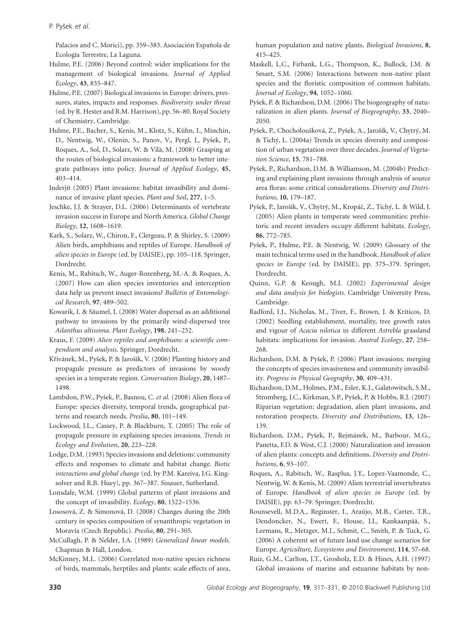Palacios and C. Morici), pp. 359–383. Asociación Española de Ecología Terrestre, La Laguna.

- Hulme, P.E. (2006) Beyond control: wider implications for the management of biological invasions. *Journal of Applied Ecology*, **43**, 835–847.
- Hulme, P.E. (2007) Biological invasions in Europe: drivers, pressures, states, impacts and responses. *Biodiversity under threat* (ed. by R. Hester and R.M. Harrison), pp. 56–80. Royal Society of Chemistry, Cambridge.
- Hulme, P.E., Bacher, S., Kenis, M., Klotz, S., Kühn, I., Minchin, D., Nentwig, W., Olenin, S., Panov, V., Pergl, J., Pyšek, P., Roques, A., Sol, D., Solarz, W. & Vilà, M. (2008) Grasping at the routes of biological invasions: a framework to better integrate pathways into policy. *Journal of Applied Ecology*, **45**, 403–414.
- Inderjit (2005) Plant invasions: habitat invasibility and dominance of invasive plant species. *Plant and Soil*, **277**, 1–5.
- Jeschke, J.J. & Strayer, D.L. (2006) Determinants of vertebrate invasion success in Europe and North America.*Global Change Biology*, **12**, 1608–1619.
- Kark, S., Solarz, W., Chiron, F., Clergeau, P. & Shirley, S. (2009) Alien birds, amphibians and reptiles of Europe. *Handbook of alien species in Europe* (ed. by DAISIE), pp. 105–118. Springer, Dordrecht.
- Kenis, M., Rabitsch, W., Auger-Rozenberg, M.-A. & Roques, A. (2007) How can alien species inventories and interception data help us prevent insect invasions? *Bulletin of Entomological Research*, **97**, 489–502.
- Kowarik, I. & Säumel, I. (2008) Water dispersal as an additional pathway to invasions by the primarily wind-dispersed tree *Ailanthus altissima*. *Plant Ecology*, **198**, 241–252.
- Kraus, F. (2009) *Alien reptiles and amphibians: a scientific compendium and analysis*. Springer, Dordrecht.
- Křivánek, M., Pyšek, P. & Jarošík, V. (2006) Planting history and propagule pressure as predictors of invasions by woody species in a temperate region. *Conservation Biology*, **20**, 1487– 1498.
- Lambdon, P.W., Pyšek, P., Basnou, C. *et al.* (2008) Alien flora of Europe: species diversity, temporal trends, geographical patterns and research needs. *Preslia*, **80**, 101–149.
- Lockwood, J.L., Cassey, P. & Blackburn, T. (2005) The role of propagule pressure in explaining species invasions. *Trends in Ecology and Evolution*, **20**, 223–228.
- Lodge, D.M. (1993) Species invasions and deletions: community effects and responses to climate and habitat change. *Biotic interactions and global change* (ed. by P.M. Kareiva, J.G. Kingsolver and R.B. Huey), pp. 367–387. Sinauer, Sutherland.
- Lonsdale, W.M. (1999) Global patterns of plant invasions and the concept of invasibility. *Ecology*, **80**, 1522–1536.
- Lososová, Z. & Simonová, D. (2008) Changes during the 20th century in species composition of synanthropic vegetation in Moravia (Czech Republic). *Preslia*, **80**, 291–305.
- McCullagh, P. & Nelder, J.A. (1989) *Generalized linear models*. Chapman & Hall, London.
- McKinney, M.L. (2006) Correlated non-native species richness of birds, mammals, herptiles and plants: scale effects of area,

human population and native plants. *Biological Invasions*, **8**, 415–425.

- Maskell, L.C., Firbank, L.G., Thompson, K., Bullock, J.M. & Smart, S.M. (2006) Interactions between non-native plant species and the floristic composition of common habitats. *Journal of Ecology*, **94**, 1052–1060.
- Pyšek, P. & Richardson, D.M. (2006) The biogeography of naturalization in alien plants. *Journal of Biogeography*, **33**, 2040– 2050.
- Pyšek, P., Chocholoušková, Z., Pyšek, A., Jarošík, V., Chytrý, M. & Tichý, L. (2004a) Trends in species diversity and composition of urban vegetation over three decades. *Journal of Vegetation Science*, **15**, 781–788.
- Pyšek, P., Richardson, D.M. & Williamson, M. (2004b) Predicting and explaining plant invasions through analysis of source area floras: some critical considerations. *Diversity and Distributions*, **10**, 179–187.
- Pyšek, P., Jarošík, V., Chytrý, M., Kropáč, Z., Tichý, L. & Wild, J. (2005) Alien plants in temperate weed communities: prehistoric and recent invaders occupy different habitats. *Ecology*, **86**, 772–785.
- Pyšek, P., Hulme, P.E. & Nentwig, W. (2009) Glossary of the main technical terms used in the handbook. *Handbook of alien species in Europe* (ed. by DAISIE), pp. 375–379. Springer, Dordrecht.
- Quinn, G.P. & Keough, M.J. (2002) *Experimental design and data analysis for biologists*. Cambridge University Press, Cambridge.
- Radford, I.J., Nicholas, M., Tiver, F., Brown, J. & Kriticos, D. (2002) Seedling establishment, mortality, tree growth rates and vigour of *Acacia nilotica* in different *Astrebla* grassland habitats: implications for invasion. *Austral Ecology*, **27**, 258– 268.
- Richardson, D.M. & Pyšek, P. (2006) Plant invasions: merging the concepts of species invasiveness and community invasibility. *Progress in Physical Geography*, **30**, 409–431.
- Richardson, D.M., Holmes, P.M., Esler, K.J., Galatowitsch, S.M., Stromberg, J.C., Kirkman, S.P., Pyšek, P. & Hobbs, R.J. (2007) Riparian vegetation: degradation, alien plant invasions, and restoration prospects. *Diversity and Distributions*, **13**, 126– 139.
- Richardson, D.M., Pyšek, P., Rejmánek, M., Barbour, M.G., Panetta, F.D. & West, C.J. (2000) Naturalization and invasion of alien plants: concepts and definitions. *Diversity and Distributions*, **6**, 93–107.
- Roques, A., Rabitsch, W., Rasplus, J.Y., Lopez-Vaamonde, C., Nentwig, W. & Kenis, M. (2009) Alien terrestrial invertebrates of Europe. *Handbook of alien species in Europe* (ed. by DAISIE), pp. 63–79. Springer, Dordrecht.
- Rounsevell, M.D.A., Reginster, I., Araújo, M.B., Carter, T.R., Dendoncker, N., Ewert, F., House, J.I., Kankaanpää, S., Leemans, R., Metzger, M.J., Schmit, C., Smith, P. & Tuck, G. (2006) A coherent set of future land use change scenarios for Europe. *Agriculture, Ecosystems and Environment*, **114**, 57–68.
- Ruiz, G.M., Carlton, J.T., Grosholz, E.D. & Hines, A.H. (1997) Global invasions of marine and estuarine habitats by non-